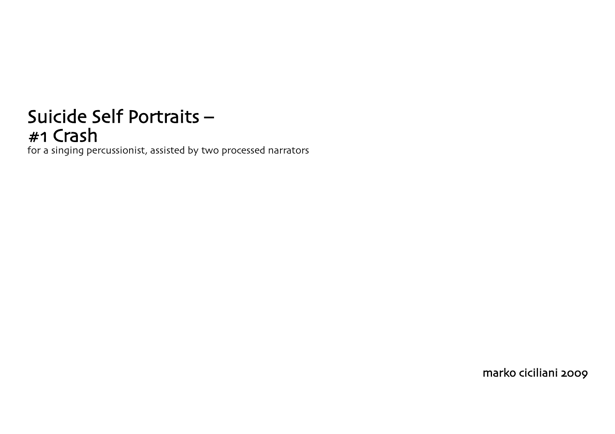## Suicide Self Portraits –<br>#1 Crash

for a singing percussionist, assisted by two processed narrators

marko ciciliani 2009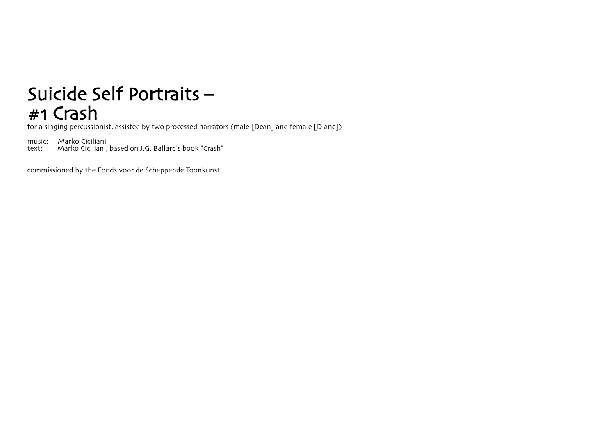## Suicide Self Portraits – #1 Crash

for a singing percussionist, assisted by two processed narrators (male [Dean] and female [Diane])

music: Marko Ciciliani<br>text: Marko Ciciliani. Marko Ciciliani, based on J.G. Ballard's book "Crash"

commissioned by the Fonds voor de Scheppende Toonkunst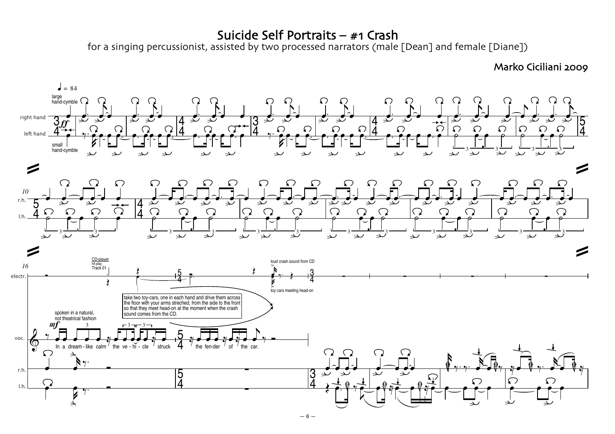## Suicide Self Portraits – #1 Crash

for a singing percussionist, assisted by two processed narrators (male [Dean] and female [Diane])

## Marko Ciciliani 2009

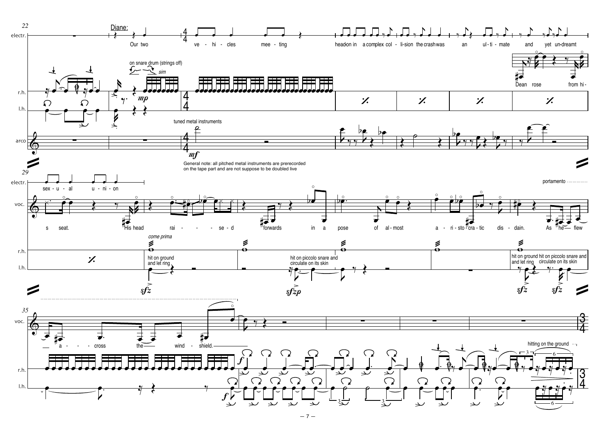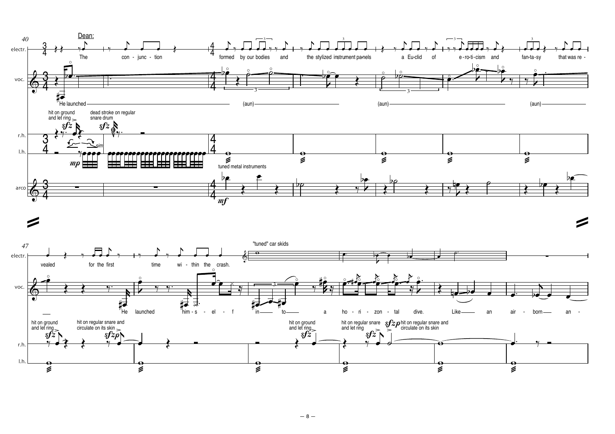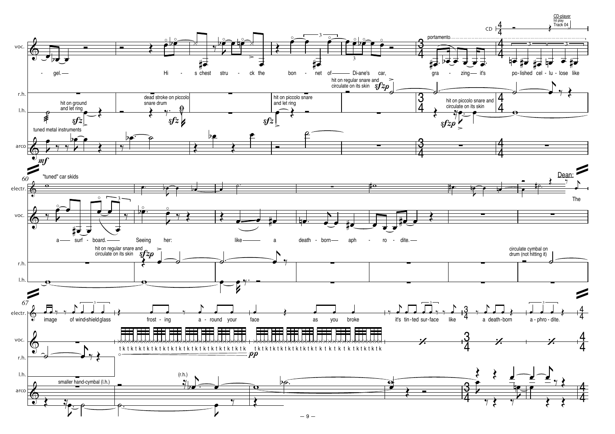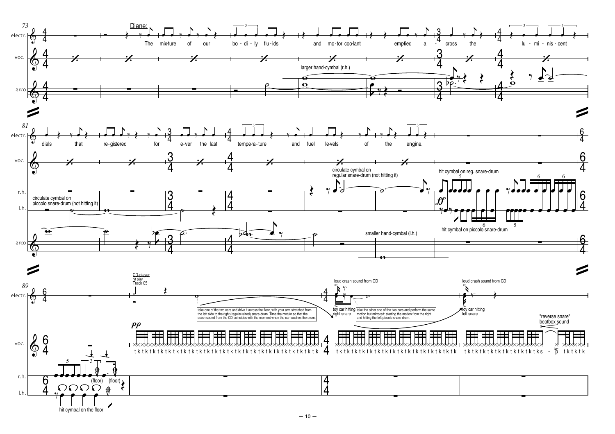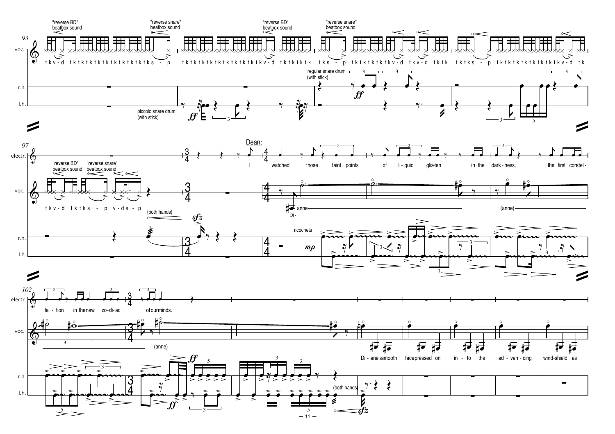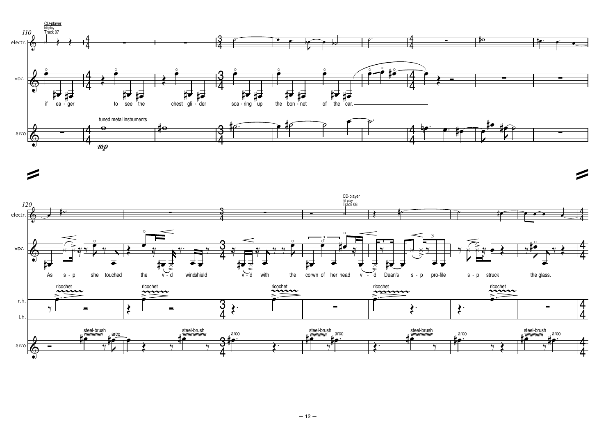

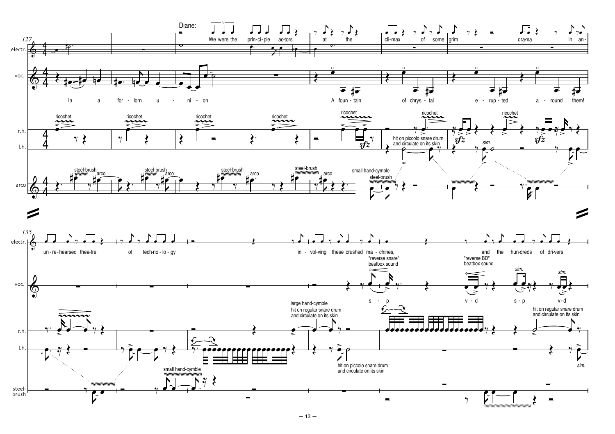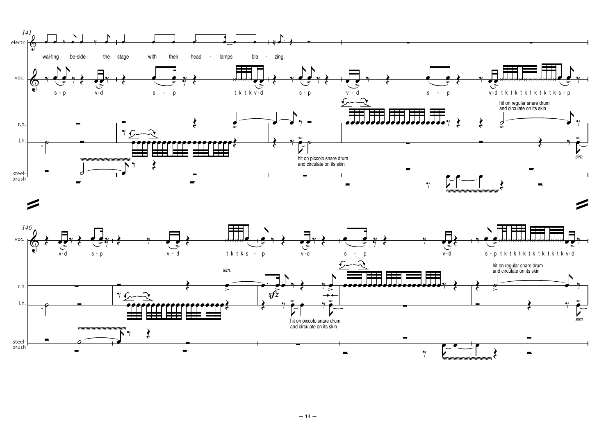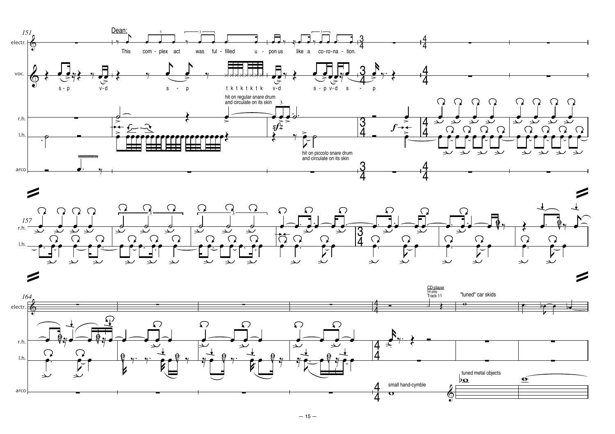